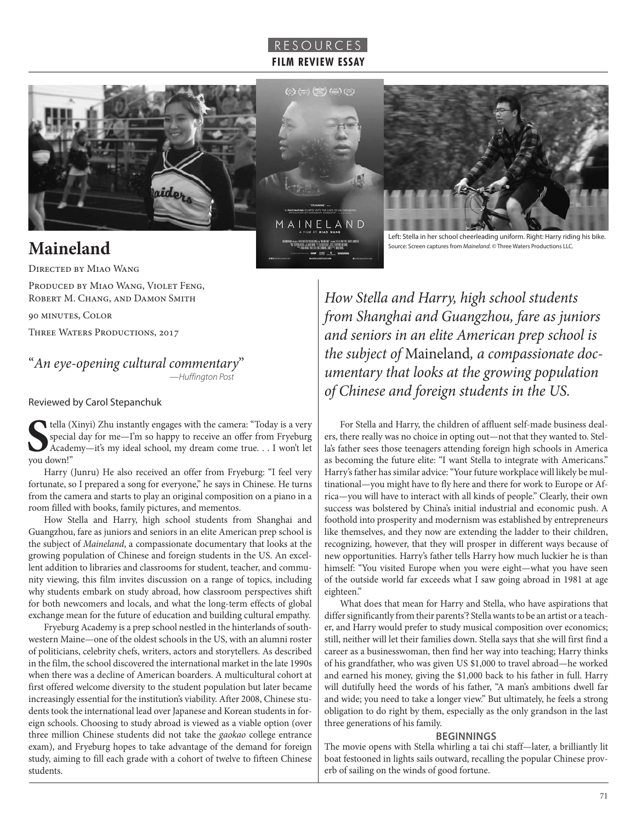

 $(\Rightarrow(\pm)\times)$  (and  $(\pm)$ 





**Maineland**

Directed by Miao Wang

PRODUCED BY MIAO WANG, VIOLET FENG, ROBERT M. CHANG, AND DAMON SMITH

90 minutes, Color

THREE WATERS PRODUCTIONS, 2017

"*An eye-opening cultural commentary*" —*Huffington Post*

Reviewed by Carol Stepanchuk

 $\begin{array}{c} \text{tella (i)} \\ \text{special} \\ \text{Acade} \end{array}$ tella (Xinyi) Zhu instantly engages with the camera: "Today is a very special day for me—I'm so happy to receive an offer from Fryeburg Academy—it's my ideal school, my dream come true. . . I won't let

Harry (Junru) He also received an offer from Fryeburg: "I feel very fortunate, so I prepared a song for everyone," he says in Chinese. He turns from the camera and starts to play an original composition on a piano in a room filled with books, family pictures, and mementos.

How Stella and Harry, high school students from Shanghai and Guangzhou, fare as juniors and seniors in an elite American prep school is the subject of *Maineland*, a compassionate documentary that looks at the growing population of Chinese and foreign students in the US. An excellent addition to libraries and classrooms for student, teacher, and community viewing, this film invites discussion on a range of topics, including why students embark on study abroad, how classroom perspectives shift for both newcomers and locals, and what the long-term effects of global exchange mean for the future of education and building cultural empathy.

Fryeburg Academy is a prep school nestled in the hinterlands of southwestern Maine—one of the oldest schools in the US, with an alumni roster of politicians, celebrity chefs, writers, actors and storytellers. As described in the film, the school discovered the international market in the late 1990s when there was a decline of American boarders. A multicultural cohort at first offered welcome diversity to the student population but later became increasingly essential for the institution's viability. After 2008, Chinese students took the international lead over Japanese and Korean students in foreign schools. Choosing to study abroad is viewed as a viable option (over three million Chinese students did not take the *gaokao* college entrance exam), and Fryeburg hopes to take advantage of the demand for foreign study, aiming to fill each grade with a cohort of twelve to fifteen Chinese students.

Left: Stella in her school cheerleading uniform. Right: Harry riding his bike. Source: Screen captures from *Maineland*. © Three Waters Productions LLC.

*How Stella and Harry, high school students from Shanghai and Guangzhou, fare as juniors and seniors in an elite American prep school is the subject of* Maineland*, a compassionate documentary that looks at the growing population of Chinese and foreign students in the US.*

For Stella and Harry, the children of affluent self-made business dealers, there really was no choice in opting out—not that they wanted to. Stella's father sees those teenagers attending foreign high schools in America as becoming the future elite: "I want Stella to integrate with Americans." Harry's father has similar advice: "Your future workplace will likely be multinational—you might have to fly here and there for work to Europe or Africa—you will have to interact with all kinds of people." Clearly, their own success was bolstered by China's initial industrial and economic push. A foothold into prosperity and modernism was established by entrepreneurs like themselves, and they now are extending the ladder to their children, recognizing, however, that they will prosper in different ways because of new opportunities. Harry's father tells Harry how much luckier he is than himself: "You visited Europe when you were eight—what you have seen of the outside world far exceeds what I saw going abroad in 1981 at age eighteen."

What does that mean for Harry and Stella, who have aspirations that differ significantly from their parents'? Stella wants to be an artist or a teacher, and Harry would prefer to study musical composition over economics; still, neither will let their families down. Stella says that she will first find a career as a businesswoman, then find her way into teaching; Harry thinks of his grandfather, who was given US \$1,000 to travel abroad—he worked and earned his money, giving the \$1,000 back to his father in full. Harry will dutifully heed the words of his father, "A man's ambitions dwell far and wide; you need to take a longer view." But ultimately, he feels a strong obligation to do right by them, especially as the only grandson in the last three generations of his family.

### **BEGINNINGS**

The movie opens with Stella whirling a tai chi staff—later, a brilliantly lit boat festooned in lights sails outward, recalling the popular Chinese proverb of sailing on the winds of good fortune.